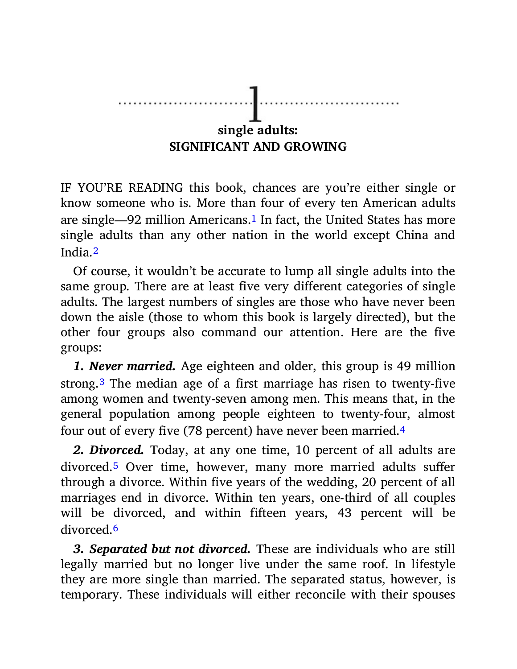# **single adults:**

# **SIGNIFICANT AND GROWING**

IF YOU'RE READING this book, chances are you're either single or know someone who is. More than four of every ten American adults are single—92 million Americans.1 In fact, the United States has more single adults than any other nation in the world except China and India.2

Of course, it wouldn't be accurate to lump all single adults into the same group. There are at least five very different categories of single adults. The largest numbers of singles are those who have never been down the aisle (those to whom this book is largely directed), but the other four groups also command our attention. Here are the five groups:

*1. Never married.* Age eighteen and older, this group is 49 million strong.3 The median age of a first marriage has risen to twenty-five among women and twenty-seven among men. This means that, in the general population among people eighteen to twenty-four, almost four out of every five (78 percent) have never been married.4

*2. Divorced.* Today, at any one time, 10 percent of all adults are divorced.5 Over time, however, many more married adults suffer through a divorce. Within five years of the wedding, 20 percent of all marriages end in divorce. Within ten years, one-third of all couples will be divorced, and within fifteen years, 43 percent will be divorced.6

*3. Separated but not divorced.* These are individuals who are still legally married but no longer live under the same roof. In lifestyle they are more single than married. The separated status, however, is temporary. These individuals will either reconcile with their spouses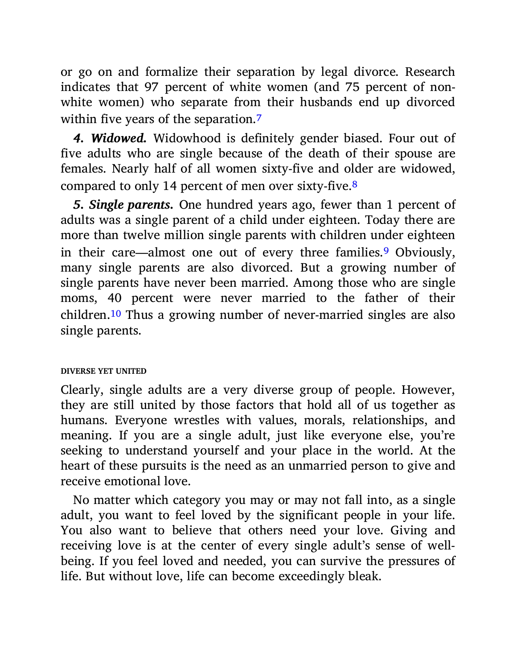or go on and formalize their separation by legal divorce. Research indicates that 97 percent of white women (and 75 percent of nonwhite women) who separate from their husbands end up divorced within five years of the separation.<sup>7</sup>

*4. Widowed.* Widowhood is definitely gender biased. Four out of five adults who are single because of the death of their spouse are females. Nearly half of all women sixty-five and older are widowed, compared to only 14 percent of men over sixty-five.8

*5. Single parents.* One hundred years ago, fewer than 1 percent of adults was a single parent of a child under eighteen. Today there are more than twelve million single parents with children under eighteen in their care—almost one out of every three families.9 Obviously, many single parents are also divorced. But a growing number of single parents have never been married. Among those who are single moms, 40 percent were never married to the father of their children.10 Thus a growing number of never-married singles are also single parents.

### **DIVERSE YET UNITED**

Clearly, single adults are a very diverse group of people. However, they are still united by those factors that hold all of us together as humans. Everyone wrestles with values, morals, relationships, and meaning. If you are a single adult, just like everyone else, you're seeking to understand yourself and your place in the world. At the heart of these pursuits is the need as an unmarried person to give and receive emotional love.

No matter which category you may or may not fall into, as a single adult, you want to feel loved by the significant people in your life. You also want to believe that others need your love. Giving and receiving love is at the center of every single adult's sense of wellbeing. If you feel loved and needed, you can survive the pressures of life. But without love, life can become exceedingly bleak.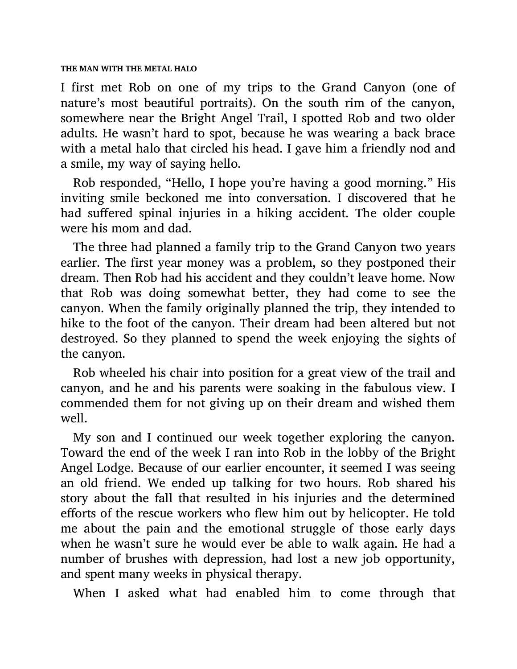**THE MAN WITH THE METAL HALO**

I first met Rob on one of my trips to the Grand Canyon (one of nature's most beautiful portraits). On the south rim of the canyon, somewhere near the Bright Angel Trail, I spotted Rob and two older adults. He wasn't hard to spot, because he was wearing a back brace with a metal halo that circled his head. I gave him a friendly nod and a smile, my way of saying hello.

Rob responded, "Hello, I hope you're having a good morning." His inviting smile beckoned me into conversation. I discovered that he had suffered spinal injuries in a hiking accident. The older couple were his mom and dad.

The three had planned a family trip to the Grand Canyon two years earlier. The first year money was a problem, so they postponed their dream. Then Rob had his accident and they couldn't leave home. Now that Rob was doing somewhat better, they had come to see the canyon. When the family originally planned the trip, they intended to hike to the foot of the canyon. Their dream had been altered but not destroyed. So they planned to spend the week enjoying the sights of the canyon.

Rob wheeled his chair into position for a great view of the trail and canyon, and he and his parents were soaking in the fabulous view. I commended them for not giving up on their dream and wished them well.

My son and I continued our week together exploring the canyon. Toward the end of the week I ran into Rob in the lobby of the Bright Angel Lodge. Because of our earlier encounter, it seemed I was seeing an old friend. We ended up talking for two hours. Rob shared his story about the fall that resulted in his injuries and the determined efforts of the rescue workers who flew him out by helicopter. He told me about the pain and the emotional struggle of those early days when he wasn't sure he would ever be able to walk again. He had a number of brushes with depression, had lost a new job opportunity, and spent many weeks in physical therapy.

When I asked what had enabled him to come through that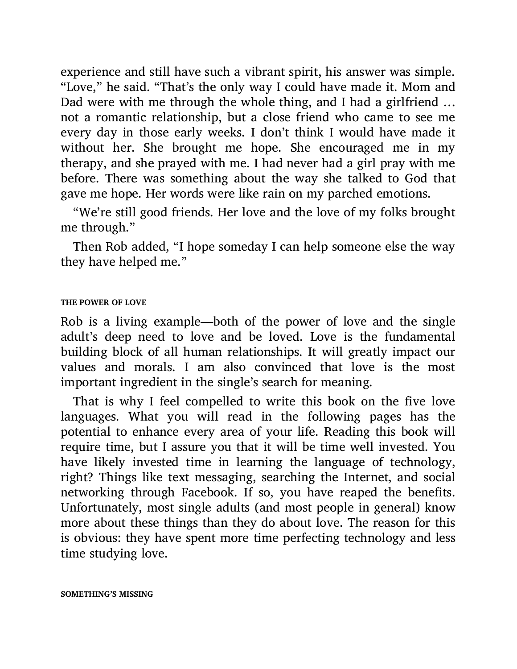experience and still have such a vibrant spirit, his answer was simple. "Love," he said. "That's the only way I could have made it. Mom and Dad were with me through the whole thing, and I had a girlfriend ... not a romantic relationship, but a close friend who came to see me every day in those early weeks. I don't think I would have made it without her. She brought me hope. She encouraged me in my therapy, and she prayed with me. I had never had a girl pray with me before. There was something about the way she talked to God that gave me hope. Her words were like rain on my parched emotions.

"We're still good friends. Her love and the love of my folks brought me through."

Then Rob added, "I hope someday I can help someone else the way they have helped me."

#### **THE POWER OF LOVE**

Rob is a living example—both of the power of love and the single adult's deep need to love and be loved. Love is the fundamental building block of all human relationships. It will greatly impact our values and morals. I am also convinced that love is the most important ingredient in the single's search for meaning.

That is why I feel compelled to write this book on the five love languages. What you will read in the following pages has the potential to enhance every area of your life. Reading this book will require time, but I assure you that it will be time well invested. You have likely invested time in learning the language of technology, right? Things like text messaging, searching the Internet, and social networking through Facebook. If so, you have reaped the benefits. Unfortunately, most single adults (and most people in general) know more about these things than they do about love. The reason for this is obvious: they have spent more time perfecting technology and less time studying love.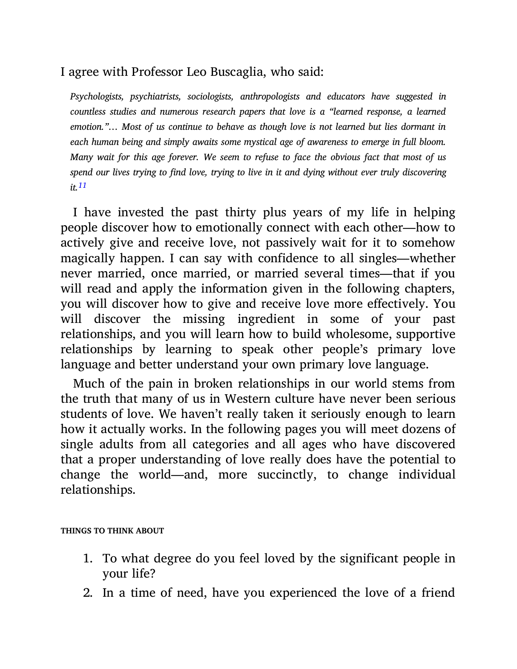### I agree with Professor Leo Buscaglia, who said:

*Psychologists, psychiatrists, sociologists, anthropologists and educators have suggested in countless studies and numerous research papers that love is a "learned response, a learned emotion."… Most of us continue to behave as though love is not learned but lies dormant in each human being and simply awaits some mystical age of awareness to emerge in full bloom. Many wait for this age forever. We seem to refuse to face the obvious fact that most of us spend our lives trying to find love, trying to live in it and dying without ever truly discovering it.11*

I have invested the past thirty plus years of my life in helping people discover how to emotionally connect with each other—how to actively give and receive love, not passively wait for it to somehow magically happen. I can say with confidence to all singles—whether never married, once married, or married several times—that if you will read and apply the information given in the following chapters, you will discover how to give and receive love more effectively. You will discover the missing ingredient in some of your past relationships, and you will learn how to build wholesome, supportive relationships by learning to speak other people's primary love language and better understand your own primary love language.

Much of the pain in broken relationships in our world stems from the truth that many of us in Western culture have never been serious students of love. We haven't really taken it seriously enough to learn how it actually works. In the following pages you will meet dozens of single adults from all categories and all ages who have discovered that a proper understanding of love really does have the potential to change the world—and, more succinctly, to change individual relationships.

**THINGS TO THINK ABOUT**

- 1. To what degree do you feel loved by the significant people in your life?
- 2. In a time of need, have you experienced the love of a friend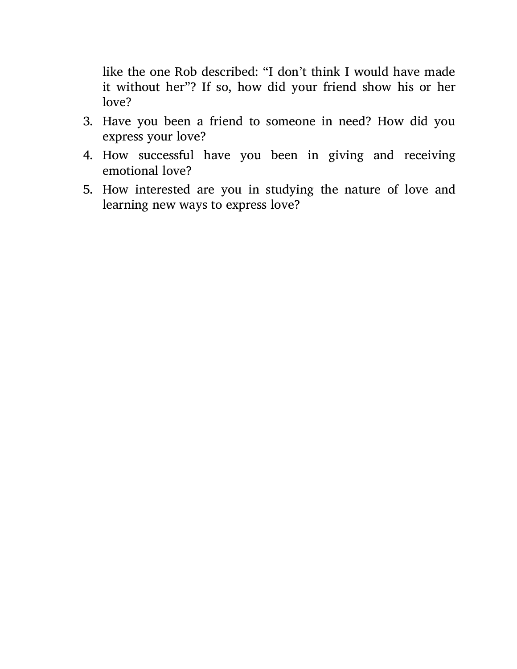like the one Rob described: "I don't think I would have made it without her"? If so, how did your friend show his or her love?

- 3. Have you been a friend to someone in need? How did you express your love?
- 4. How successful have you been in giving and receiving emotional love?
- 5. How interested are you in studying the nature of love and learning new ways to express love?